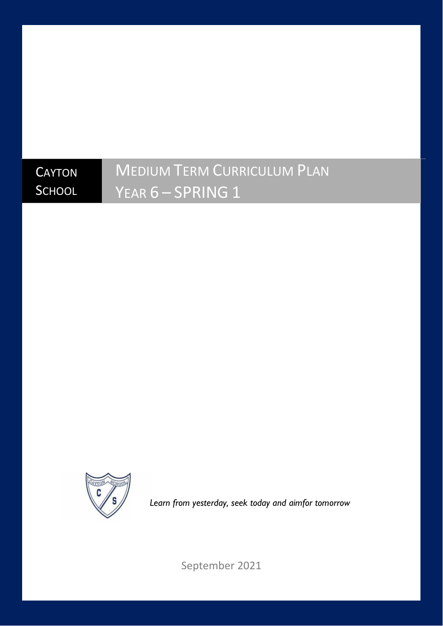## **CAYTON SCHOOL**

# MEDIUM TERM CURRICULUM PLAN YEAR 6 - SPRING 1



*Learn from yesterday, seek today and aimfor tomorrow*

September 2021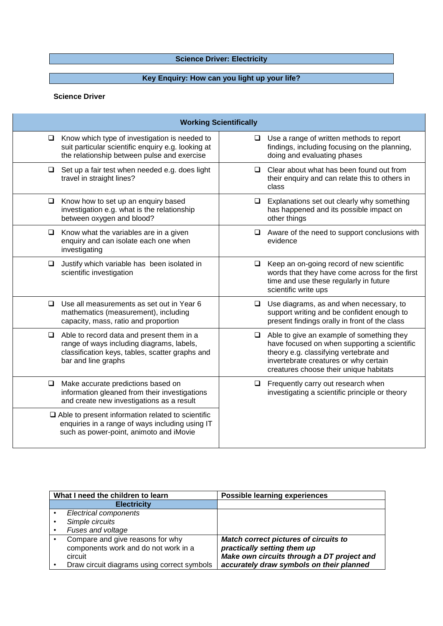## **Science Driver: Electricity Science Driver: Electricity**

## **Key Enquiry: How can you light up your life?**

#### **Science Driver**

| <b>Working Scientifically</b>                                                                                                                                          |                                                                                                                                                                                                                             |
|------------------------------------------------------------------------------------------------------------------------------------------------------------------------|-----------------------------------------------------------------------------------------------------------------------------------------------------------------------------------------------------------------------------|
| Know which type of investigation is needed to<br>$\Box$<br>suit particular scientific enquiry e.g. looking at<br>the relationship between pulse and exercise           | Use a range of written methods to report<br>⊔<br>findings, including focusing on the planning,<br>doing and evaluating phases                                                                                               |
| Set up a fair test when needed e.g. does light<br>$\Box$<br>travel in straight lines?                                                                                  | Clear about what has been found out from<br>◻<br>their enquiry and can relate this to others in<br>class                                                                                                                    |
| Know how to set up an enquiry based<br>$\Box$<br>investigation e.g. what is the relationship<br>between oxygen and blood?                                              | Explanations set out clearly why something<br>❏<br>has happened and its possible impact on<br>other things                                                                                                                  |
| $\Box$<br>Know what the variables are in a given<br>enquiry and can isolate each one when<br>investigating                                                             | Aware of the need to support conclusions with<br>□<br>evidence                                                                                                                                                              |
| Justify which variable has been isolated in<br>❏<br>scientific investigation                                                                                           | Keep an on-going record of new scientific<br>□<br>words that they have come across for the first<br>time and use these regularly in future<br>scientific write ups                                                          |
| Use all measurements as set out in Year 6<br>□<br>mathematics (measurement), including<br>capacity, mass, ratio and proportion                                         | Use diagrams, as and when necessary, to<br>□<br>support writing and be confident enough to<br>present findings orally in front of the class                                                                                 |
| Able to record data and present them in a<br>Q.<br>range of ways including diagrams, labels,<br>classification keys, tables, scatter graphs and<br>bar and line graphs | Able to give an example of something they<br>□<br>have focused on when supporting a scientific<br>theory e.g. classifying vertebrate and<br>invertebrate creatures or why certain<br>creatures choose their unique habitats |
| Make accurate predictions based on<br>❏<br>information gleaned from their investigations<br>and create new investigations as a result                                  | Frequently carry out research when<br>□<br>investigating a scientific principle or theory                                                                                                                                   |
| $\Box$ Able to present information related to scientific<br>enquiries in a range of ways including using IT<br>such as power-point, animoto and iMovie                 |                                                                                                                                                                                                                             |

| What I need the children to learn           | <b>Possible learning experiences</b>         |
|---------------------------------------------|----------------------------------------------|
| <b>Electricity</b>                          |                                              |
| <b>Electrical components</b>                |                                              |
| Simple circuits                             |                                              |
| Fuses and voltage                           |                                              |
| Compare and give reasons for why            | <b>Match correct pictures of circuits to</b> |
| components work and do not work in a        | practically setting them up                  |
| circuit                                     | Make own circuits through a DT project and   |
| Draw circuit diagrams using correct symbols | accurately draw symbols on their planned     |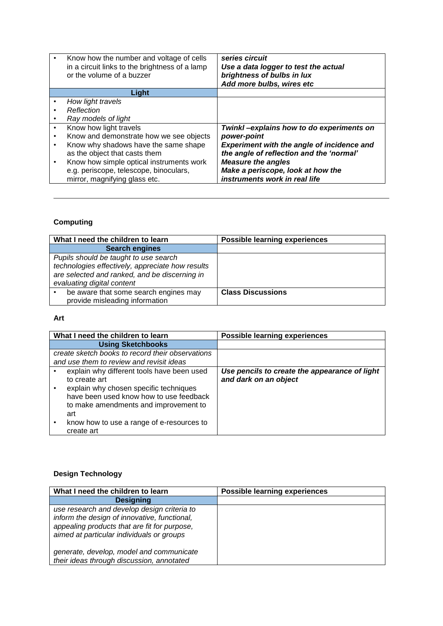| Know how the number and voltage of cells<br>in a circuit links to the brightness of a lamp<br>or the volume of a buzzer | series circuit<br>Use a data logger to test the actual<br>brightness of bulbs in lux<br>Add more bulbs, wires etc |
|-------------------------------------------------------------------------------------------------------------------------|-------------------------------------------------------------------------------------------------------------------|
| Light                                                                                                                   |                                                                                                                   |
| How light travels                                                                                                       |                                                                                                                   |
| Reflection                                                                                                              |                                                                                                                   |
| Ray models of light                                                                                                     |                                                                                                                   |
| Know how light travels                                                                                                  | Twinkl-explains how to do experiments on                                                                          |
| Know and demonstrate how we see objects                                                                                 | power-point                                                                                                       |
| Know why shadows have the same shape                                                                                    | <b>Experiment with the angle of incidence and</b>                                                                 |
| as the object that casts them                                                                                           | the angle of reflection and the 'normal'                                                                          |
| Know how simple optical instruments work                                                                                | <b>Measure the angles</b>                                                                                         |
| e.g. periscope, telescope, binoculars,                                                                                  | Make a periscope, look at how the                                                                                 |
| mirror, magnifying glass etc.                                                                                           | instruments work in real life                                                                                     |

## **Computing**

| What I need the children to learn                | <b>Possible learning experiences</b> |
|--------------------------------------------------|--------------------------------------|
| <b>Search engines</b>                            |                                      |
| Pupils should be taught to use search            |                                      |
| technologies effectively, appreciate how results |                                      |
| are selected and ranked, and be discerning in    |                                      |
| evaluating digital content                       |                                      |
| be aware that some search engines may            | <b>Class Discussions</b>             |
| provide misleading information                   |                                      |

#### **Art**

| What I need the children to learn                | <b>Possible learning experiences</b>          |
|--------------------------------------------------|-----------------------------------------------|
| <b>Using Sketchbooks</b>                         |                                               |
| create sketch books to record their observations |                                               |
| and use them to review and revisit ideas         |                                               |
| explain why different tools have been used       | Use pencils to create the appearance of light |
| to create art                                    | and dark on an object                         |
| explain why chosen specific techniques           |                                               |
| have been used know how to use feedback          |                                               |
| to make amendments and improvement to            |                                               |
| art                                              |                                               |
| know how to use a range of e-resources to        |                                               |
| create art                                       |                                               |

## **Design Technology**

| What I need the children to learn                                                                                                                                                        | <b>Possible learning experiences</b> |
|------------------------------------------------------------------------------------------------------------------------------------------------------------------------------------------|--------------------------------------|
| <b>Designing</b>                                                                                                                                                                         |                                      |
| use research and develop design criteria to<br>inform the design of innovative, functional,<br>appealing products that are fit for purpose,<br>aimed at particular individuals or groups |                                      |
| generate, develop, model and communicate<br>their ideas through discussion, annotated                                                                                                    |                                      |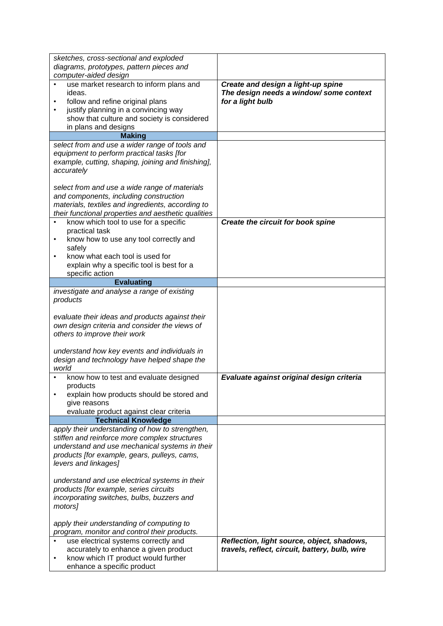| sketches, cross-sectional and exploded<br>diagrams, prototypes, pattern pieces and                                                                                                                                                                                                                                                                                     |                                                                                                   |
|------------------------------------------------------------------------------------------------------------------------------------------------------------------------------------------------------------------------------------------------------------------------------------------------------------------------------------------------------------------------|---------------------------------------------------------------------------------------------------|
| computer-aided design                                                                                                                                                                                                                                                                                                                                                  |                                                                                                   |
| use market research to inform plans and<br>ideas.<br>follow and refine original plans<br>justify planning in a convincing way<br>show that culture and society is considered                                                                                                                                                                                           | Create and design a light-up spine<br>The design needs a window/ some context<br>for a light bulb |
| in plans and designs<br><b>Making</b>                                                                                                                                                                                                                                                                                                                                  |                                                                                                   |
| select from and use a wider range of tools and<br>equipment to perform practical tasks [for<br>example, cutting, shaping, joining and finishing],<br>accurately<br>select from and use a wide range of materials<br>and components, including construction<br>materials, textiles and ingredients, according to<br>their functional properties and aesthetic qualities |                                                                                                   |
| know which tool to use for a specific                                                                                                                                                                                                                                                                                                                                  | Create the circuit for book spine                                                                 |
| practical task<br>know how to use any tool correctly and<br>safely<br>know what each tool is used for<br>٠<br>explain why a specific tool is best for a<br>specific action                                                                                                                                                                                             |                                                                                                   |
| <b>Evaluating</b>                                                                                                                                                                                                                                                                                                                                                      |                                                                                                   |
| investigate and analyse a range of existing<br>products<br>evaluate their ideas and products against their<br>own design criteria and consider the views of<br>others to improve their work                                                                                                                                                                            |                                                                                                   |
| understand how key events and individuals in                                                                                                                                                                                                                                                                                                                           |                                                                                                   |
| design and technology have helped shape the<br>world                                                                                                                                                                                                                                                                                                                   |                                                                                                   |
| know how to test and evaluate designed                                                                                                                                                                                                                                                                                                                                 | Evaluate against original design criteria                                                         |
| products<br>explain how products should be stored and<br>give reasons<br>evaluate product against clear criteria                                                                                                                                                                                                                                                       |                                                                                                   |
| <b>Technical Knowledge</b>                                                                                                                                                                                                                                                                                                                                             |                                                                                                   |
| apply their understanding of how to strengthen,<br>stiffen and reinforce more complex structures<br>understand and use mechanical systems in their<br>products [for example, gears, pulleys, cams,<br>levers and linkages]                                                                                                                                             |                                                                                                   |
| understand and use electrical systems in their<br>products [for example, series circuits<br>incorporating switches, bulbs, buzzers and<br>motors]                                                                                                                                                                                                                      |                                                                                                   |
| apply their understanding of computing to<br>program, monitor and control their products.                                                                                                                                                                                                                                                                              |                                                                                                   |
| use electrical systems correctly and<br>accurately to enhance a given product<br>know which IT product would further<br>enhance a specific product                                                                                                                                                                                                                     | Reflection, light source, object, shadows,<br>travels, reflect, circuit, battery, bulb, wire      |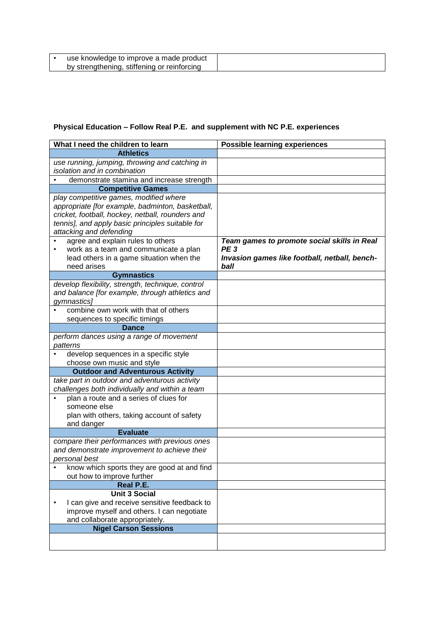| use knowledge to improve a made product     |  |
|---------------------------------------------|--|
| by strengthening, stiffening or reinforcing |  |

## **Physical Education – Follow Real P.E. and supplement with NC P.E. experiences**

| What I need the children to learn                                                                                                                                                                                             | <b>Possible learning experiences</b>                                     |
|-------------------------------------------------------------------------------------------------------------------------------------------------------------------------------------------------------------------------------|--------------------------------------------------------------------------|
| <b>Athletics</b>                                                                                                                                                                                                              |                                                                          |
| use running, jumping, throwing and catching in<br>isolation and in combination                                                                                                                                                |                                                                          |
| demonstrate stamina and increase strength                                                                                                                                                                                     |                                                                          |
| <b>Competitive Games</b>                                                                                                                                                                                                      |                                                                          |
| play competitive games, modified where<br>appropriate [for example, badminton, basketball,<br>cricket, football, hockey, netball, rounders and<br>tennis], and apply basic principles suitable for<br>attacking and defending |                                                                          |
| agree and explain rules to others                                                                                                                                                                                             | Team games to promote social skills in Real                              |
| work as a team and communicate a plan<br>lead others in a game situation when the<br>need arises                                                                                                                              | PE <sub>3</sub><br>Invasion games like football, netball, bench-<br>ball |
| <b>Gymnastics</b>                                                                                                                                                                                                             |                                                                          |
| develop flexibility, strength, technique, control<br>and balance [for example, through athletics and<br>gymnastics]                                                                                                           |                                                                          |
| combine own work with that of others<br>sequences to specific timings                                                                                                                                                         |                                                                          |
| <b>Dance</b>                                                                                                                                                                                                                  |                                                                          |
| perform dances using a range of movement<br>patterns                                                                                                                                                                          |                                                                          |
| develop sequences in a specific style                                                                                                                                                                                         |                                                                          |
| choose own music and style                                                                                                                                                                                                    |                                                                          |
| <b>Outdoor and Adventurous Activity</b>                                                                                                                                                                                       |                                                                          |
| take part in outdoor and adventurous activity<br>challenges both individually and within a team                                                                                                                               |                                                                          |
| plan a route and a series of clues for<br>someone else<br>plan with others, taking account of safety<br>and danger                                                                                                            |                                                                          |
| <b>Evaluate</b>                                                                                                                                                                                                               |                                                                          |
| compare their performances with previous ones<br>and demonstrate improvement to achieve their<br>personal best                                                                                                                |                                                                          |
| know which sports they are good at and find<br>out how to improve further                                                                                                                                                     |                                                                          |
| Real P.E.                                                                                                                                                                                                                     |                                                                          |
| <b>Unit 3 Social</b><br>I can give and receive sensitive feedback to<br>improve myself and others. I can negotiate<br>and collaborate appropriately.<br><b>Nigel Carson Sessions</b>                                          |                                                                          |
|                                                                                                                                                                                                                               |                                                                          |
|                                                                                                                                                                                                                               |                                                                          |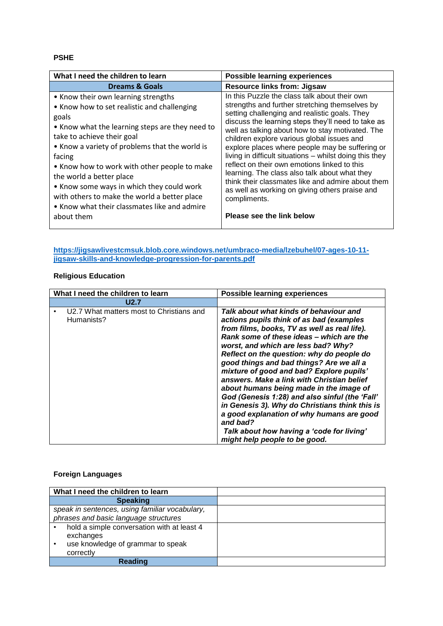#### **PSHE**

| What I need the children to learn                                                                                                                                                                                                                                                                                                                                                                                                                                               | <b>Possible learning experiences</b>                                                                                                                                                                                                                                                                                                                                                                                                                                                                                                                                                                                                                                        |
|---------------------------------------------------------------------------------------------------------------------------------------------------------------------------------------------------------------------------------------------------------------------------------------------------------------------------------------------------------------------------------------------------------------------------------------------------------------------------------|-----------------------------------------------------------------------------------------------------------------------------------------------------------------------------------------------------------------------------------------------------------------------------------------------------------------------------------------------------------------------------------------------------------------------------------------------------------------------------------------------------------------------------------------------------------------------------------------------------------------------------------------------------------------------------|
| <b>Dreams &amp; Goals</b>                                                                                                                                                                                                                                                                                                                                                                                                                                                       | <b>Resource links from: Jigsaw</b>                                                                                                                                                                                                                                                                                                                                                                                                                                                                                                                                                                                                                                          |
| • Know their own learning strengths<br>• Know how to set realistic and challenging<br>goals<br>• Know what the learning steps are they need to<br>take to achieve their goal<br>• Know a variety of problems that the world is<br>facing<br>• Know how to work with other people to make<br>the world a better place<br>• Know some ways in which they could work<br>with others to make the world a better place<br>• Know what their classmates like and admire<br>about them | In this Puzzle the class talk about their own<br>strengths and further stretching themselves by<br>setting challenging and realistic goals. They<br>discuss the learning steps they'll need to take as<br>well as talking about how to stay motivated. The<br>children explore various global issues and<br>explore places where people may be suffering or<br>living in difficult situations - whilst doing this they<br>reflect on their own emotions linked to this<br>learning. The class also talk about what they<br>think their classmates like and admire about them<br>as well as working on giving others praise and<br>compliments.<br>Please see the link below |

**[https://jigsawlivestcmsuk.blob.core.windows.net/umbraco-media/lzebuhel/07-ages-10-11](https://jigsawlivestcmsuk.blob.core.windows.net/umbraco-media/lzebuhel/07-ages-10-11-jigsaw-skills-and-knowledge-progression-for-parents.pdf) [jigsaw-skills-and-knowledge-progression-for-parents.pdf](https://jigsawlivestcmsuk.blob.core.windows.net/umbraco-media/lzebuhel/07-ages-10-11-jigsaw-skills-and-knowledge-progression-for-parents.pdf)**

#### **Religious Education**

| What I need the children to learn                      | <b>Possible learning experiences</b>                                                                                                                                                                                                                                                                                                                                                                                                                                                                                                                                                                                                                                                           |
|--------------------------------------------------------|------------------------------------------------------------------------------------------------------------------------------------------------------------------------------------------------------------------------------------------------------------------------------------------------------------------------------------------------------------------------------------------------------------------------------------------------------------------------------------------------------------------------------------------------------------------------------------------------------------------------------------------------------------------------------------------------|
| U2.7                                                   |                                                                                                                                                                                                                                                                                                                                                                                                                                                                                                                                                                                                                                                                                                |
| U2.7 What matters most to Christians and<br>Humanists? | Talk about what kinds of behaviour and<br>actions pupils think of as bad (examples<br>from films, books, TV as well as real life).<br>Rank some of these ideas - which are the<br>worst, and which are less bad? Why?<br>Reflect on the question: why do people do<br>good things and bad things? Are we all a<br>mixture of good and bad? Explore pupils'<br>answers. Make a link with Christian belief<br>about humans being made in the image of<br>God (Genesis 1:28) and also sinful (the 'Fall'<br>in Genesis 3). Why do Christians think this is<br>a good explanation of why humans are good<br>and bad?<br>Talk about how having a 'code for living'<br>might help people to be good. |

#### **Foreign Languages**

| What I need the children to learn              |  |
|------------------------------------------------|--|
| <b>Speaking</b>                                |  |
| speak in sentences, using familiar vocabulary, |  |
| phrases and basic language structures          |  |
| hold a simple conversation with at least 4     |  |
| exchanges                                      |  |
| use knowledge of grammar to speak              |  |
| correctly                                      |  |
| <b>Reading</b>                                 |  |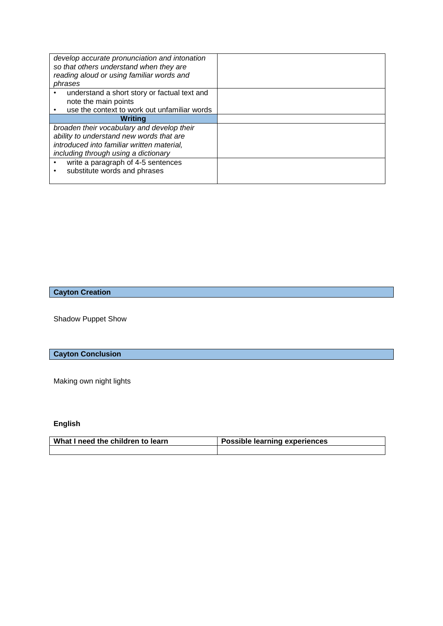| develop accurate pronunciation and intonation<br>so that others understand when they are<br>reading aloud or using familiar words and<br>phrases |  |
|--------------------------------------------------------------------------------------------------------------------------------------------------|--|
| understand a short story or factual text and                                                                                                     |  |
| note the main points                                                                                                                             |  |
| use the context to work out unfamiliar words                                                                                                     |  |
| Writina                                                                                                                                          |  |
| broaden their vocabulary and develop their                                                                                                       |  |
| ability to understand new words that are                                                                                                         |  |
| introduced into familiar written material,                                                                                                       |  |
| including through using a dictionary                                                                                                             |  |
| write a paragraph of 4-5 sentences                                                                                                               |  |
| substitute words and phrases                                                                                                                     |  |
|                                                                                                                                                  |  |

## **Cayton Creation**

Shadow Puppet Show

## **Cayton Conclusion**

Making own night lights

## **English**

| What I need the children to learn | <b>Possible learning experiences</b> |
|-----------------------------------|--------------------------------------|
|                                   |                                      |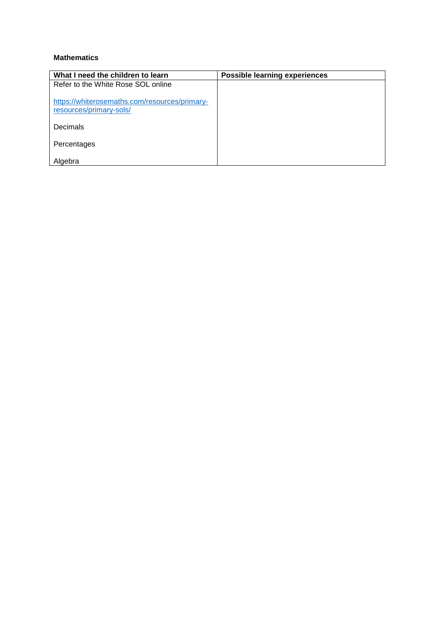#### **Mathematics**

| What I need the children to learn                                        | <b>Possible learning experiences</b> |
|--------------------------------------------------------------------------|--------------------------------------|
| Refer to the White Rose SOL online                                       |                                      |
| https://whiterosemaths.com/resources/primary-<br>resources/primary-sols/ |                                      |
| Decimals                                                                 |                                      |
| Percentages                                                              |                                      |
| Algebra                                                                  |                                      |